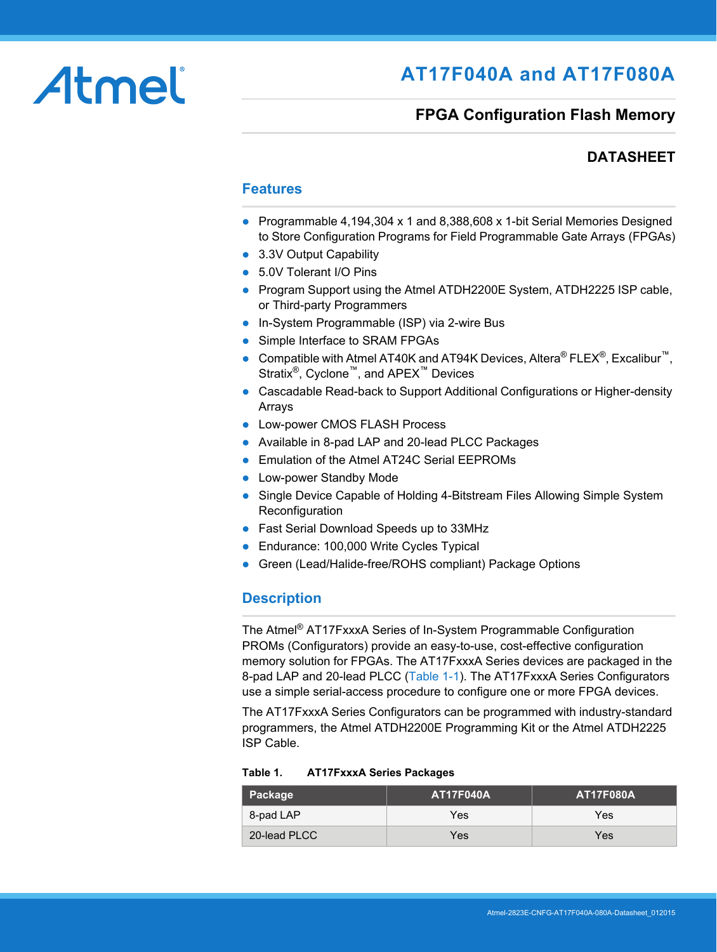# Atmel

# **AT17F040A and AT17F080A**

## **FPGA Configuration Flash Memory**

## **DATASHEET**

#### **Features**

- Programmable 4,194,304 x 1 and 8,388,608 x 1-bit Serial Memories Designed to Store Configuration Programs for Field Programmable Gate Arrays (FPGAs)
- 3.3V Output Capability
- 5.0V Tolerant I/O Pins
- Program Support using the Atmel ATDH2200E System, ATDH2225 ISP cable, or Third-party Programmers
- In-System Programmable (ISP) via 2-wire Bus
- Simple Interface to SRAM FPGAs
- Compatible with Atmel AT40K and AT94K Devices, Altera® FLEX®, Excalibur™, Stratix®, Cyclone™, and APEX™ Devices
- Cascadable Read-back to Support Additional Configurations or Higher-density Arrays
- Low-power CMOS FLASH Process
- Available in 8-pad LAP and 20-lead PLCC Packages
- **Emulation of the Atmel AT24C Serial EEPROMs**
- Low-power Standby Mode
- Single Device Capable of Holding 4-Bitstream Files Allowing Simple System **Reconfiguration**
- Fast Serial Download Speeds up to 33MHz
- Endurance: 100,000 Write Cycles Typical
- Green (Lead/Halide-free/ROHS compliant) Package Options

#### **Description**

The Atmel® AT17FxxxA Series of In-System Programmable Configuration PROMs (Configurators) provide an easy-to-use, cost-effective configuration memory solution for FPGAs. The AT17FxxxA Series devices are packaged in the 8-pad LAP and 20-lead PLCC ([Table 1-1\)](#page-1-0). The AT17FxxxA Series Configurators use a simple serial-access procedure to configure one or more FPGA devices.

The AT17FxxxA Series Configurators can be programmed with industry-standard programmers, the Atmel ATDH2200E Programming Kit or the Atmel ATDH2225 ISP Cable.

| Package      | <b>AT17F040A</b> | <b>AT17F080A</b> |
|--------------|------------------|------------------|
| 8-pad LAP    | Yes              | Yes              |
| 20-lead PLCC | Yes              | Yes              |

#### **Table 1. AT17FxxxA Series Packages**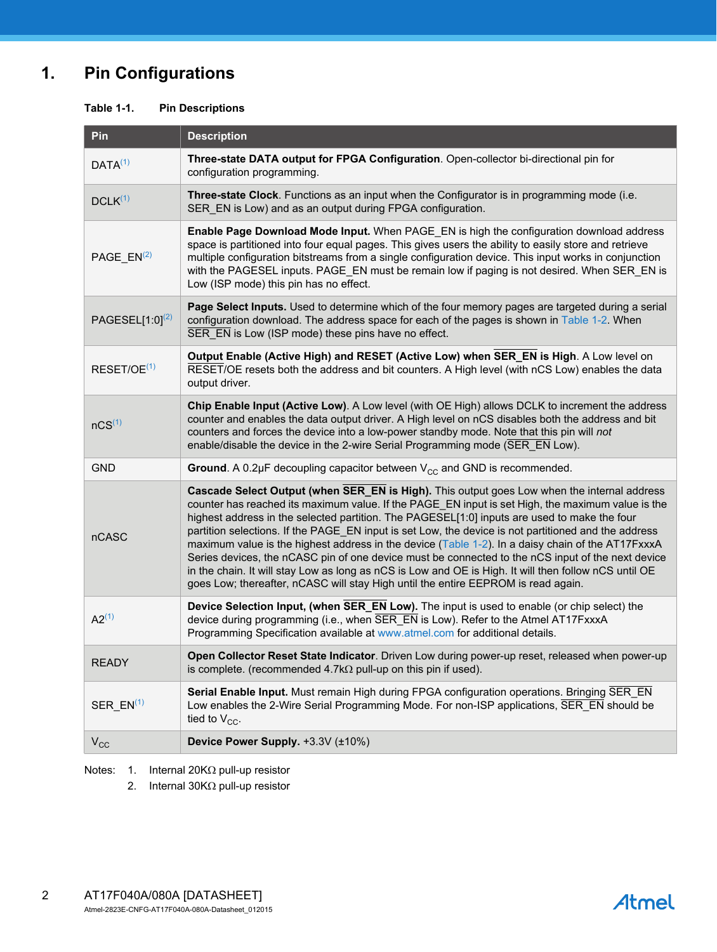## **1. Pin Configurations**

#### <span id="page-1-0"></span>**Table 1-1. Pin Descriptions**

| Pin                     | <b>Description</b>                                                                                                                                                                                                                                                                                                                                                                                                                                                                                                                                                                                                                                                                                                                                                                                               |
|-------------------------|------------------------------------------------------------------------------------------------------------------------------------------------------------------------------------------------------------------------------------------------------------------------------------------------------------------------------------------------------------------------------------------------------------------------------------------------------------------------------------------------------------------------------------------------------------------------------------------------------------------------------------------------------------------------------------------------------------------------------------------------------------------------------------------------------------------|
| DATA <sup>(1)</sup>     | Three-state DATA output for FPGA Configuration. Open-collector bi-directional pin for<br>configuration programming.                                                                                                                                                                                                                                                                                                                                                                                                                                                                                                                                                                                                                                                                                              |
| $DCLK^{(1)}$            | Three-state Clock. Functions as an input when the Configurator is in programming mode (i.e.<br>SER_EN is Low) and as an output during FPGA configuration.                                                                                                                                                                                                                                                                                                                                                                                                                                                                                                                                                                                                                                                        |
| PAGE $EN(2)$            | Enable Page Download Mode Input. When PAGE_EN is high the configuration download address<br>space is partitioned into four equal pages. This gives users the ability to easily store and retrieve<br>multiple configuration bitstreams from a single configuration device. This input works in conjunction<br>with the PAGESEL inputs. PAGE EN must be remain low if paging is not desired. When SER EN is<br>Low (ISP mode) this pin has no effect.                                                                                                                                                                                                                                                                                                                                                             |
| PAGESEL $[1:0]^{(2)}$   | Page Select Inputs. Used to determine which of the four memory pages are targeted during a serial<br>configuration download. The address space for each of the pages is shown in Table 1-2. When<br>SER EN is Low (ISP mode) these pins have no effect.                                                                                                                                                                                                                                                                                                                                                                                                                                                                                                                                                          |
| RESET/OE <sup>(1)</sup> | Output Enable (Active High) and RESET (Active Low) when SER_EN is High. A Low level on<br>RESET/OE resets both the address and bit counters. A High level (with nCS Low) enables the data<br>output driver.                                                                                                                                                                                                                                                                                                                                                                                                                                                                                                                                                                                                      |
| nCS <sup>(1)</sup>      | Chip Enable Input (Active Low). A Low level (with OE High) allows DCLK to increment the address<br>counter and enables the data output driver. A High level on nCS disables both the address and bit<br>counters and forces the device into a low-power standby mode. Note that this pin will not<br>enable/disable the device in the 2-wire Serial Programming mode (SER EN Low).                                                                                                                                                                                                                                                                                                                                                                                                                               |
| <b>GND</b>              | Ground. A 0.2 $\mu$ F decoupling capacitor between $V_{CC}$ and GND is recommended.                                                                                                                                                                                                                                                                                                                                                                                                                                                                                                                                                                                                                                                                                                                              |
| nCASC                   | Cascade Select Output (when SER_EN is High). This output goes Low when the internal address<br>counter has reached its maximum value. If the PAGE EN input is set High, the maximum value is the<br>highest address in the selected partition. The PAGESEL[1:0] inputs are used to make the four<br>partition selections. If the PAGE_EN input is set Low, the device is not partitioned and the address<br>maximum value is the highest address in the device (Table 1-2). In a daisy chain of the AT17FxxxA<br>Series devices, the nCASC pin of one device must be connected to the nCS input of the next device<br>in the chain. It will stay Low as long as nCS is Low and OE is High. It will then follow nCS until OE<br>goes Low; thereafter, nCASC will stay High until the entire EEPROM is read again. |
| $A2^{(1)}$              | Device Selection Input, (when SER_EN Low). The input is used to enable (or chip select) the<br>device during programming (i.e., when SER_EN is Low). Refer to the Atmel AT17FxxxA<br>Programming Specification available at www.atmel.com for additional details.                                                                                                                                                                                                                                                                                                                                                                                                                                                                                                                                                |
| <b>READY</b>            | Open Collector Reset State Indicator. Driven Low during power-up reset, released when power-up<br>is complete. (recommended $4.7k\Omega$ pull-up on this pin if used).                                                                                                                                                                                                                                                                                                                                                                                                                                                                                                                                                                                                                                           |
| $SER_EN^{(1)}$          | Serial Enable Input. Must remain High during FPGA configuration operations. Bringing SER_EN<br>Low enables the 2-Wire Serial Programming Mode. For non-ISP applications, SER_EN should be<br>tied to $V_{CC}$ .                                                                                                                                                                                                                                                                                                                                                                                                                                                                                                                                                                                                  |
| $V_{CC}$                | Device Power Supply. +3.3V (±10%)                                                                                                                                                                                                                                                                                                                                                                                                                                                                                                                                                                                                                                                                                                                                                                                |

<span id="page-1-2"></span><span id="page-1-1"></span>Notes: 1. Internal 20K $\Omega$  pull-up resistor

2. Internal  $30K\Omega$  pull-up resistor

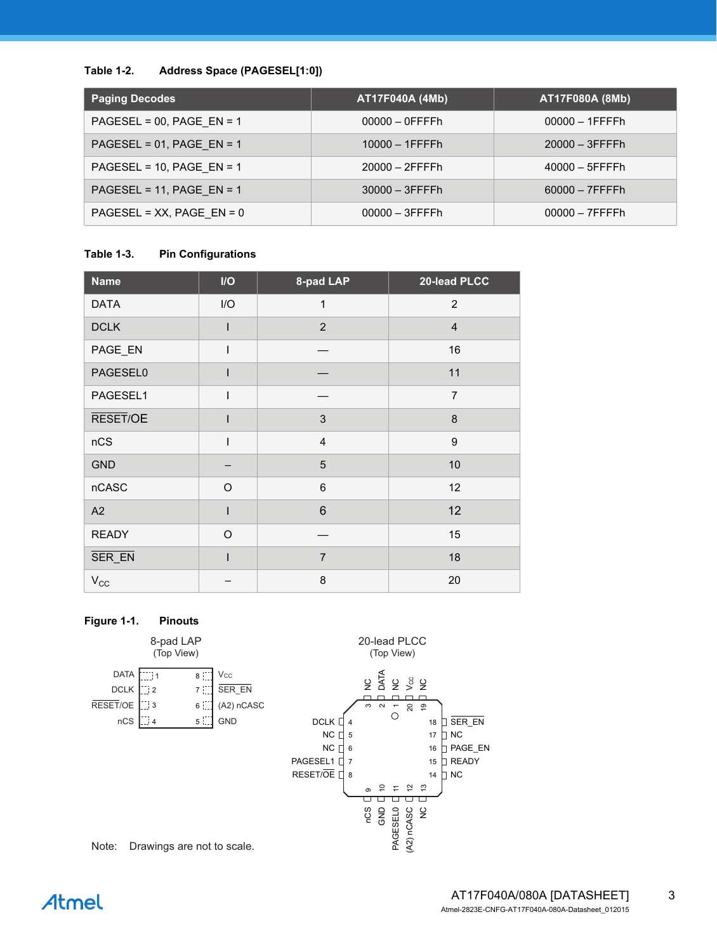#### <span id="page-2-0"></span>**Table 1-2. Address Space (PAGESEL[1:0])**

| <b>Paging Decodes</b>        | AT17F040A (4Mb)   | AT17F080A (8Mb)   |
|------------------------------|-------------------|-------------------|
| PAGESEL = $00$ , PAGE EN = 1 | $00000 - 0$ FFFFh | $00000 - 1$ FFFFh |
| PAGESEL = $01$ , PAGE EN = 1 | $10000 - 1$ FFFFh | $20000 - 3$ FFFFh |
| PAGESEL = 10, PAGE EN = 1    | $20000 - 2$ FFFFh | $40000 - 5$ FFFFh |
| PAGESEL = 11, PAGE_EN = 1    | $30000 - 3$ FFFFh | $60000 - 7$ FFFFh |
| PAGESEL = $XX$ , PAGE EN = 0 | $00000 - 3$ FFFFh | $00000 - 7$ FFFFh |

#### **Table 1-3. Pin Configurations**

| <b>Name</b>  | $\mathsf{I}/\mathsf{O}$ | 8-pad LAP      | 20-lead PLCC   |
|--------------|-------------------------|----------------|----------------|
| <b>DATA</b>  | I/O                     | $\mathbf{1}$   | 2              |
| <b>DCLK</b>  |                         | $\overline{2}$ | $\overline{4}$ |
| PAGE_EN      |                         |                | 16             |
| PAGESEL0     | ı                       |                | 11             |
| PAGESEL1     | ı                       |                | $\overline{7}$ |
| RESET/OE     |                         | 3              | 8              |
| nCS          | $\mathsf{I}$            | $\overline{4}$ | 9              |
| <b>GND</b>   |                         | 5              | 10             |
| nCASC        | $\circ$                 | 6              | 12             |
| A2           | I                       | $6\phantom{1}$ | 12             |
| <b>READY</b> | $\circ$                 |                | 15             |
| SER_EN       | ı                       | $\overline{7}$ | 18             |
| $V_{\rm CC}$ |                         | 8              | 20             |

#### **Figure 1-1. Pinouts**



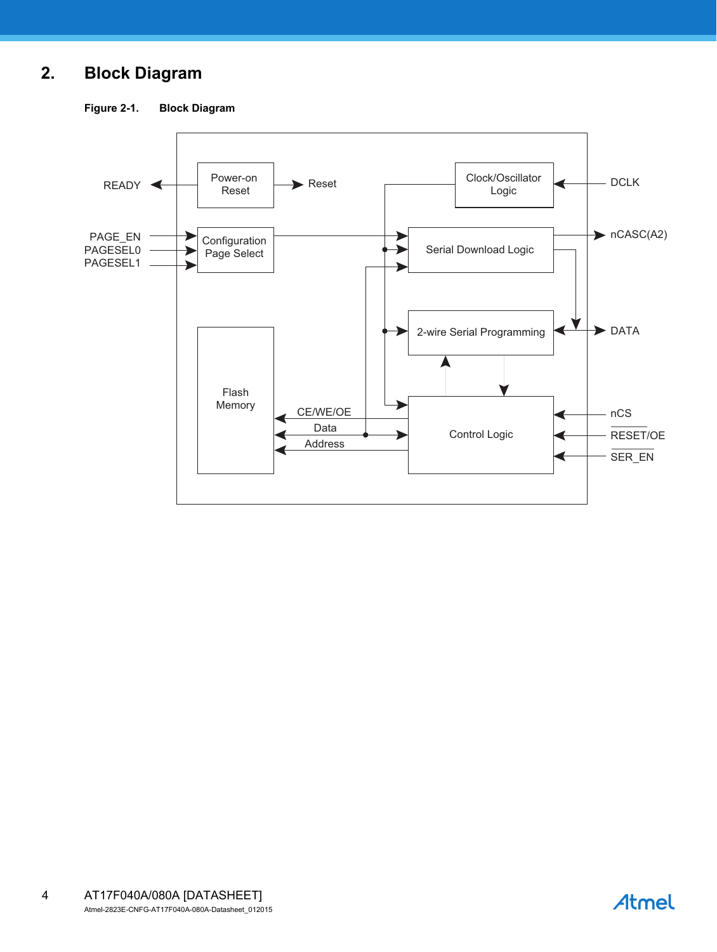## **2. Block Diagram**

**Figure 2-1. Block Diagram**



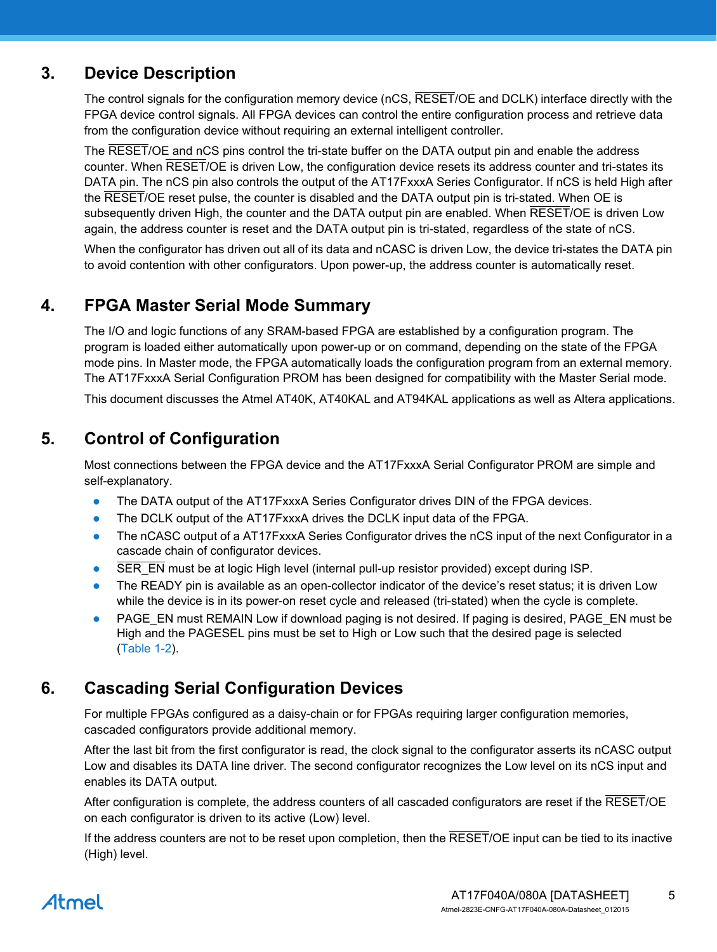## **3. Device Description**

The control signals for the configuration memory device (nCS, RESET/OE and DCLK) interface directly with the FPGA device control signals. All FPGA devices can control the entire configuration process and retrieve data from the configuration device without requiring an external intelligent controller.

The RESET/OE and nCS pins control the tri-state buffer on the DATA output pin and enable the address counter. When RESET/OE is driven Low, the configuration device resets its address counter and tri-states its DATA pin. The nCS pin also controls the output of the AT17FxxxA Series Configurator. If nCS is held High after the RESET/OE reset pulse, the counter is disabled and the DATA output pin is tri-stated. When OE is subsequently driven High, the counter and the DATA output pin are enabled. When RESET/OE is driven Low again, the address counter is reset and the DATA output pin is tri-stated, regardless of the state of nCS.

When the configurator has driven out all of its data and nCASC is driven Low, the device tri-states the DATA pin to avoid contention with other configurators. Upon power-up, the address counter is automatically reset.

## **4. FPGA Master Serial Mode Summary**

The I/O and logic functions of any SRAM-based FPGA are established by a configuration program. The program is loaded either automatically upon power-up or on command, depending on the state of the FPGA mode pins. In Master mode, the FPGA automatically loads the configuration program from an external memory. The AT17FxxxA Serial Configuration PROM has been designed for compatibility with the Master Serial mode.

This document discusses the Atmel AT40K, AT40KAL and AT94KAL applications as well as Altera applications.

## **5. Control of Configuration**

Most connections between the FPGA device and the AT17FxxxA Serial Configurator PROM are simple and self-explanatory.

- The DATA output of the AT17FxxxA Series Configurator drives DIN of the FPGA devices.
- The DCLK output of the AT17FxxxA drives the DCLK input data of the FPGA.
- The nCASC output of a AT17FxxxA Series Configurator drives the nCS input of the next Configurator in a cascade chain of configurator devices.
- SER\_EN must be at logic High level (internal pull-up resistor provided) except during ISP.
- The READY pin is available as an open-collector indicator of the device's reset status; it is driven Low while the device is in its power-on reset cycle and released (tri-stated) when the cycle is complete.
- PAGE\_EN must REMAIN Low if download paging is not desired. If paging is desired, PAGE\_EN must be High and the PAGESEL pins must be set to High or Low such that the desired page is selected [\(Table 1-2\)](#page-2-0).

## **6. Cascading Serial Configuration Devices**

For multiple FPGAs configured as a daisy-chain or for FPGAs requiring larger configuration memories, cascaded configurators provide additional memory.

After the last bit from the first configurator is read, the clock signal to the configurator asserts its nCASC output Low and disables its DATA line driver. The second configurator recognizes the Low level on its nCS input and enables its DATA output.

After configuration is complete, the address counters of all cascaded configurators are reset if the RESET/OE on each configurator is driven to its active (Low) level.

If the address counters are not to be reset upon completion, then the RESET/OE input can be tied to its inactive (High) level.

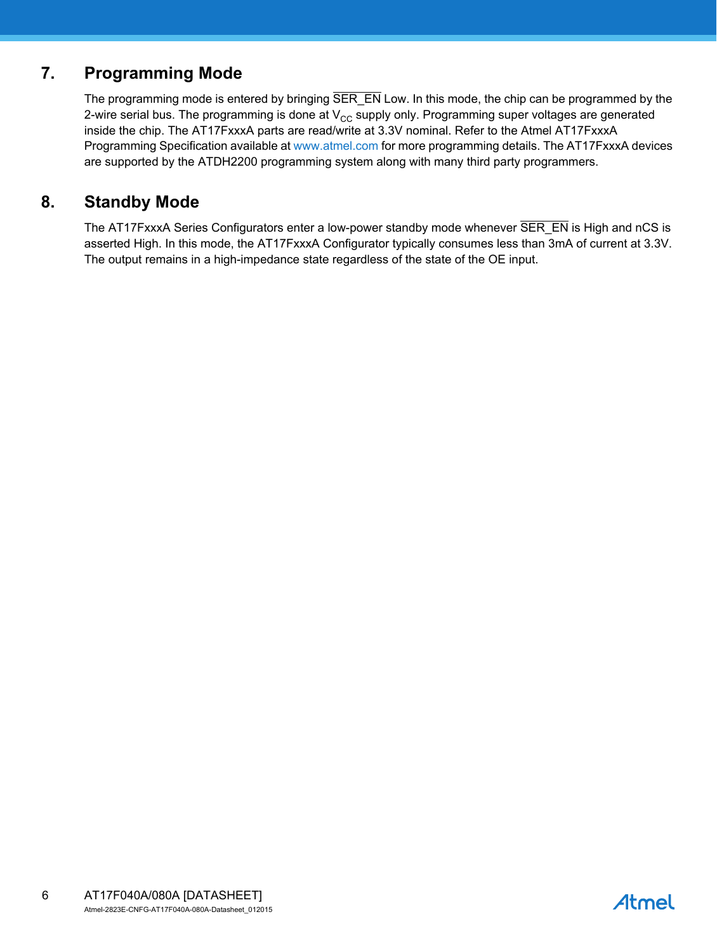## **7. Programming Mode**

The programming mode is entered by bringing SER\_EN Low. In this mode, the chip can be programmed by the 2-wire serial bus. The programming is done at  $V_{CC}$  supply only. Programming super voltages are generated inside the chip. The AT17FxxxA parts are read/write at 3.3V nominal. Refer to the Atmel AT17FxxxA Programming Specification available at<www.atmel.com>for more programming details. The AT17FxxxA devices are supported by the ATDH2200 programming system along with many third party programmers.

## **8. Standby Mode**

The AT17FxxxA Series Configurators enter a low-power standby mode whenever SER\_EN is High and nCS is asserted High. In this mode, the AT17FxxxA Configurator typically consumes less than 3mA of current at 3.3V. The output remains in a high-impedance state regardless of the state of the OE input.

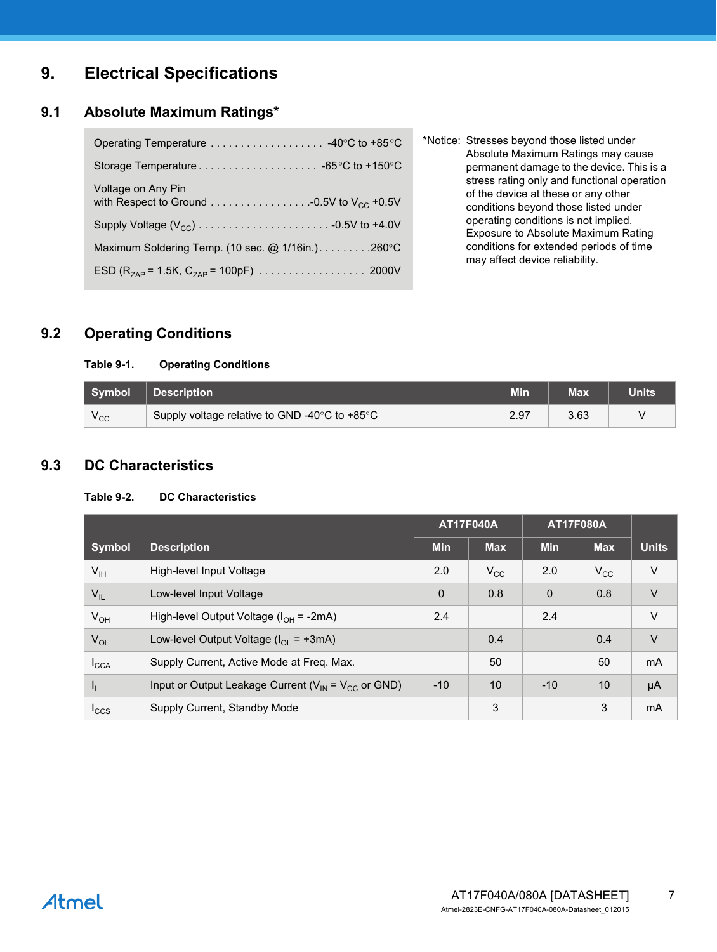## **9. Electrical Specifications**

#### **9.1 Absolute Maximum Ratings\***

| Voltage on Any Pin                                    |
|-------------------------------------------------------|
|                                                       |
| Maximum Soldering Temp. (10 sec. $@$ 1/16in.). 260 °C |
|                                                       |

\*Notice: Stresses beyond those listed under Absolute Maximum Ratings may cause permanent damage to the device. This is a stress rating only and functional operation of the device at these or any other conditions beyond those listed under operating conditions is not implied. Exposure to Absolute Maximum Rating conditions for extended periods of time may affect device reliability.

## **9.2 Operating Conditions**

#### **Table 9-1. Operating Conditions**

| Symbol       | <b>Description</b>                            | Min  | <b>Max</b> | <b>Units</b> |
|--------------|-----------------------------------------------|------|------------|--------------|
| $v_{\rm CC}$ | Supply voltage relative to GND -40°C to +85°C | 2.97 | 3.63       |              |

#### **9.3 DC Characteristics**

#### **Table 9-2. DC Characteristics**

|                  |                                                             | <b>AT17F040A</b> |              | <b>AT17F080A</b> |                 |              |
|------------------|-------------------------------------------------------------|------------------|--------------|------------------|-----------------|--------------|
| <b>Symbol</b>    | <b>Description</b>                                          | <b>Min</b>       | <b>Max</b>   | <b>Min</b>       | <b>Max</b>      | <b>Units</b> |
| $V_{\text{IH}}$  | High-level Input Voltage                                    | 2.0              | $V_{\rm CC}$ | 2.0              | $V_{\rm CC}$    | V            |
| $V_{IL}$         | Low-level Input Voltage                                     | $\mathbf 0$      | 0.8          | $\mathbf 0$      | 0.8             | $\vee$       |
| $V_{OH}$         | High-level Output Voltage ( $I_{OH}$ = -2mA)                | 2.4              |              | 2.4              |                 | $\vee$       |
| $V_{OL}$         | Low-level Output Voltage ( $I_{OL}$ = +3mA)                 |                  | 0.4          |                  | 0.4             | $\vee$       |
| $I_{\text{CCA}}$ | Supply Current, Active Mode at Freq. Max.                   |                  | 50           |                  | 50              | <b>mA</b>    |
| I <sub>L</sub>   | Input or Output Leakage Current ( $V_{IN} = V_{CC}$ or GND) | $-10$            | 10           | $-10$            | 10 <sup>1</sup> | μA           |
| $I_{CCS}$        | Supply Current, Standby Mode                                |                  | 3            |                  | 3               | mA           |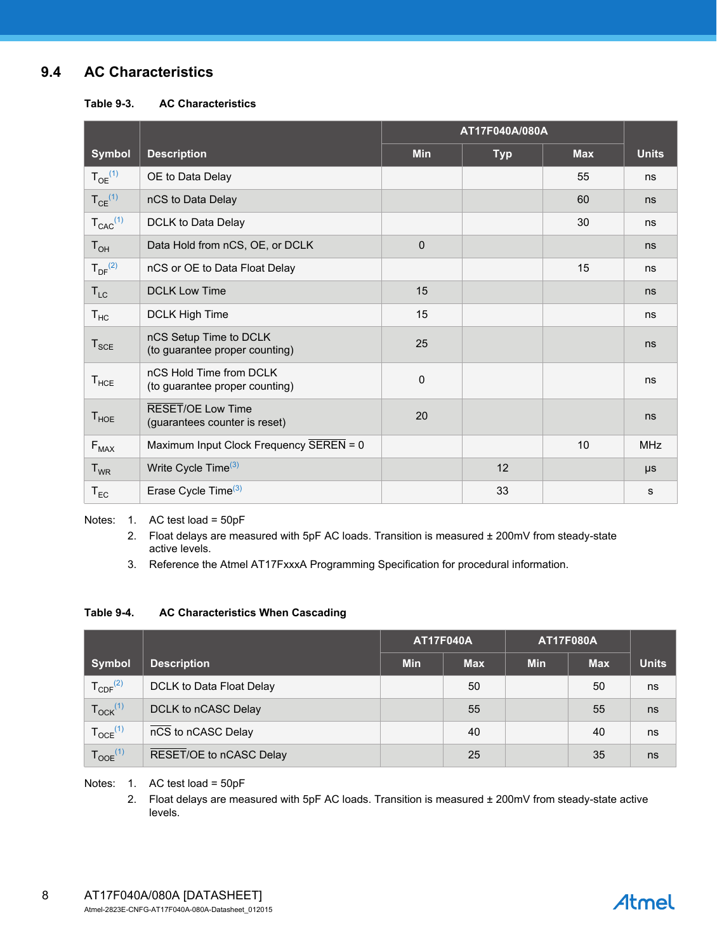## **9.4 AC Characteristics**

**Table 9-3. AC Characteristics**

|                         |                                                           | AT17F040A/080A |            |            |              |
|-------------------------|-----------------------------------------------------------|----------------|------------|------------|--------------|
| <b>Symbol</b>           | <b>Description</b>                                        | <b>Min</b>     | <b>Typ</b> | <b>Max</b> | <b>Units</b> |
| $T_{OE}^{(1)}$          | OE to Data Delay                                          |                |            | 55         | ns           |
| $T_{CE}$ <sup>(1)</sup> | nCS to Data Delay                                         |                |            | 60         | ns           |
| $T_{CAC}^{(1)}$         | DCLK to Data Delay                                        |                |            | 30         | ns           |
| $T_{OH}$                | Data Hold from nCS, OE, or DCLK                           | $\mathbf 0$    |            |            | ns           |
| $T_{DF}^{(2)}$          | nCS or OE to Data Float Delay                             |                |            | 15         | ns           |
| $T_{LC}$                | <b>DCLK Low Time</b>                                      | 15             |            |            | ns           |
| $T_{HC}$                | DCLK High Time                                            | 15             |            |            | ns           |
| $T_{\text{SCE}}$        | nCS Setup Time to DCLK<br>(to guarantee proper counting)  | 25             |            |            | ns           |
| $T_{HCE}$               | nCS Hold Time from DCLK<br>(to guarantee proper counting) | $\mathbf 0$    |            |            | ns           |
| $T_{HOE}$               | <b>RESET/OE Low Time</b><br>(guarantees counter is reset) | 20             |            |            | ns           |
| $F_{MAX}$               | Maximum Input Clock Frequency SEREN = 0                   |                |            | 10         | <b>MHz</b>   |
| $T_{WR}$                | Write Cycle Time <sup>(3)</sup>                           |                | 12         |            | $\mu s$      |
| $T_{EC}$                | Erase Cycle Time <sup>(3)</sup>                           |                | 33         |            | s            |

<span id="page-7-2"></span><span id="page-7-1"></span><span id="page-7-0"></span>Notes: 1. AC test load = 50pF

2. Float delays are measured with 5pF AC loads. Transition is measured ± 200mV from steady-state active levels.

3. Reference the Atmel AT17FxxxA Programming Specification for procedural information.

#### **Table 9-4. AC Characteristics When Cascading**

|                          |                          | <b>AT17F040A</b><br><b>AT17F080A</b> |            |            |            |              |
|--------------------------|--------------------------|--------------------------------------|------------|------------|------------|--------------|
| Symbol                   | <b>Description</b>       | <b>Min</b>                           | <b>Max</b> | <b>Min</b> | <b>Max</b> | <b>Units</b> |
| $T_{CDF}^{(2)}$          | DCLK to Data Float Delay |                                      | 50         |            | 50         | ns           |
| $T_{\text{OCK}}^{(1)}$   | DCLK to nCASC Delay      |                                      | 55         |            | 55         | ns           |
| $T_{OCE}$ <sup>(1)</sup> | nCS to nCASC Delay       |                                      | 40         |            | 40         | ns           |
| $T_{OOE}$ <sup>(1)</sup> | RESET/OE to nCASC Delay  |                                      | 25         |            | 35         | ns           |

Notes: 1. AC test load = 50pF

2. Float delays are measured with 5pF AC loads. Transition is measured ± 200mV from steady-state active levels.

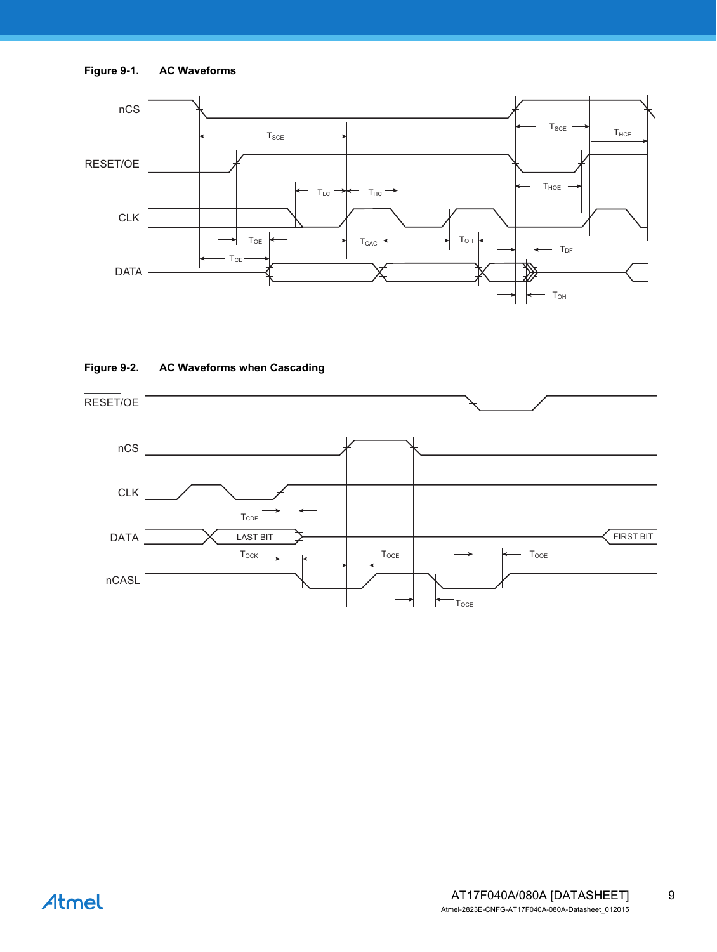



#### **Figure 9-2. AC Waveforms when Cascading**

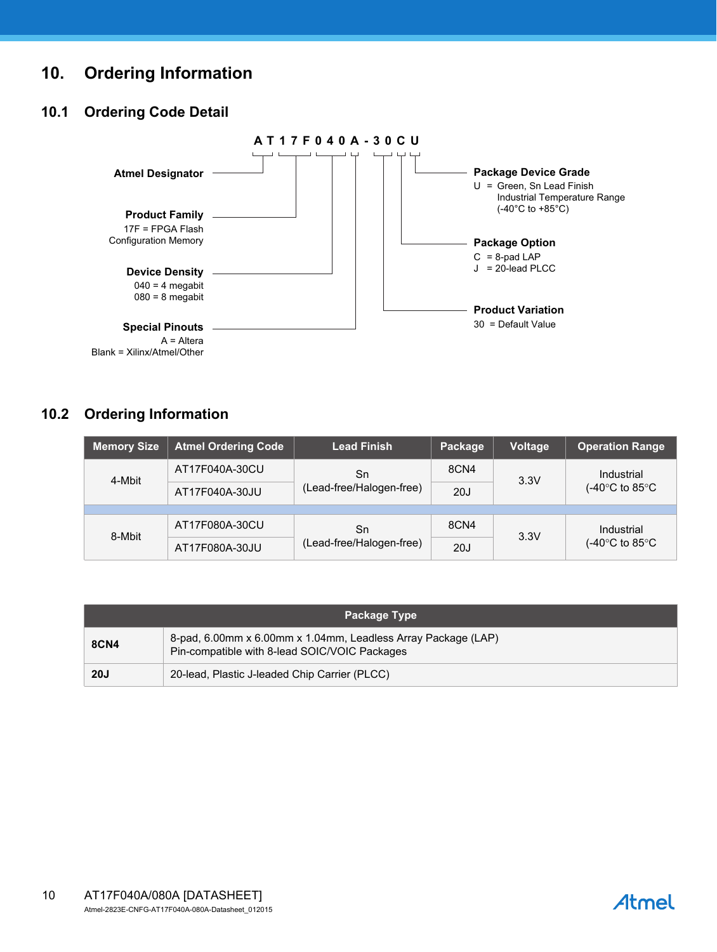## **10. Ordering Information**

## **10.1 Ordering Code Detail**



## **10.2 Ordering Information**

| <b>Memory Size</b> | <b>Atmel Ordering Code</b> | <b>Lead Finish</b>       | Package | <b>Voltage</b> | <b>Operation Range</b>                            |  |
|--------------------|----------------------------|--------------------------|---------|----------------|---------------------------------------------------|--|
| 4-Mbit             | AT17F040A-30CU             | Sn                       | 8CN4    | 3.3V           | Industrial<br>$(-40^{\circ}$ C to 85 $^{\circ}$ C |  |
|                    | AT17F040A-30JU             | (Lead-free/Halogen-free) | 20J     |                |                                                   |  |
|                    |                            |                          |         |                |                                                   |  |
| 8-Mbit             | AT17F080A-30CU             | Sn                       | 8CN4    | 3.3V           | Industrial                                        |  |
|                    | AT17F080A-30JU             | (Lead-free/Halogen-free) | 20J     |                | $(-40^{\circ}$ C to 85 $^{\circ}$ C               |  |

| Package Type |                                                                                                                |  |
|--------------|----------------------------------------------------------------------------------------------------------------|--|
| <b>8CN4</b>  | 8-pad, 6.00mm x 6.00mm x 1.04mm, Leadless Array Package (LAP)<br>Pin-compatible with 8-lead SOIC/VOIC Packages |  |
| <b>20J</b>   | 20-lead, Plastic J-leaded Chip Carrier (PLCC)                                                                  |  |

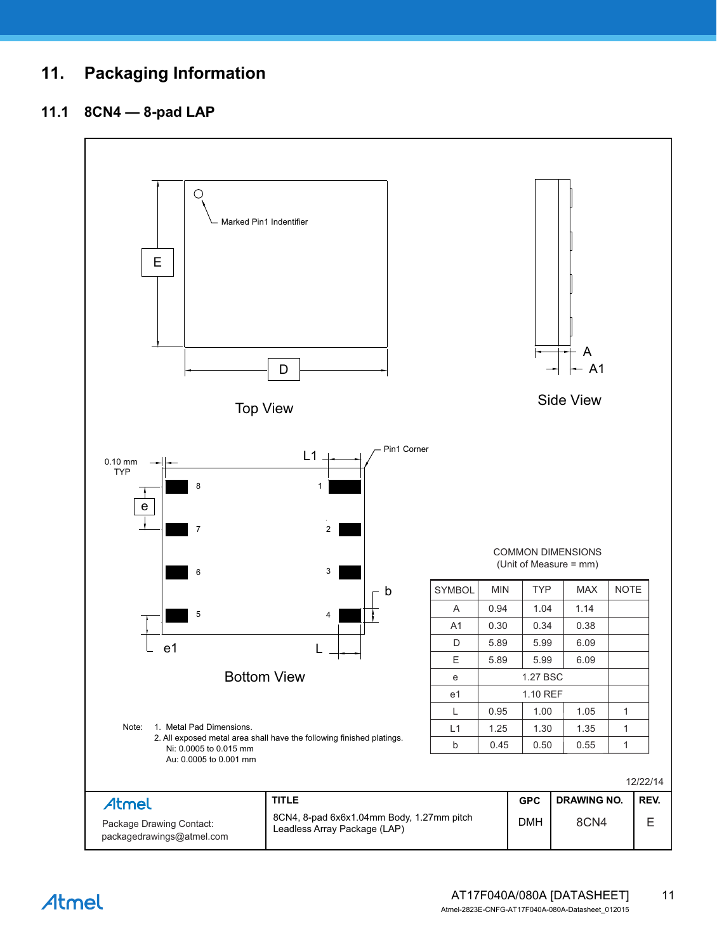## **11. Packaging Information**

## **11.1 8CN4 — 8-pad LAP**



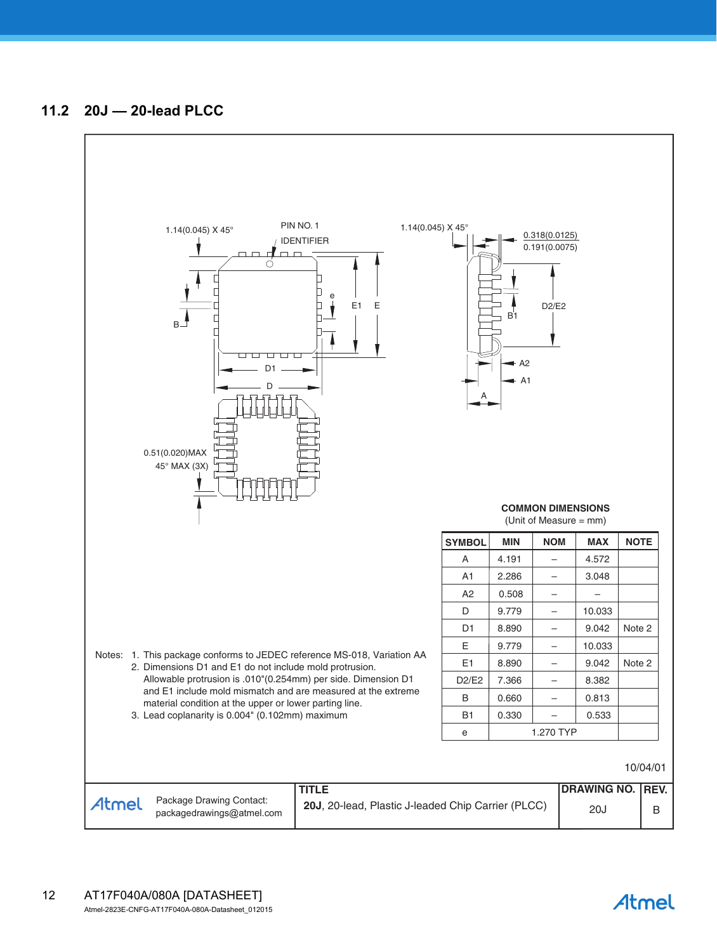

Atmel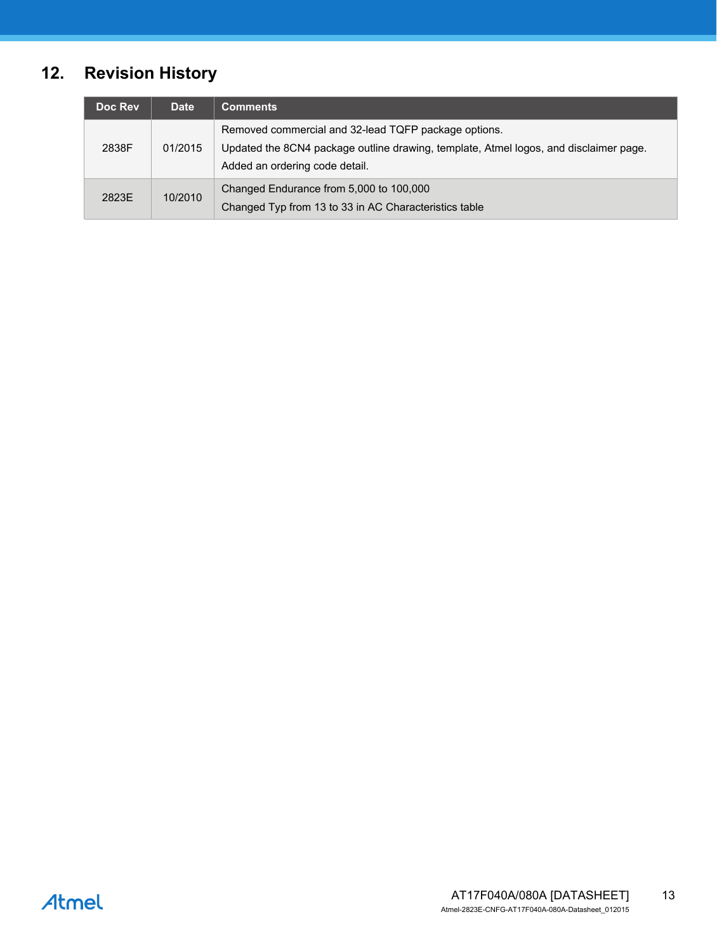# **12. Revision History**

| Doc Rev | <b>Date</b> | <b>Comments</b>                                                                                                                                                                 |
|---------|-------------|---------------------------------------------------------------------------------------------------------------------------------------------------------------------------------|
| 2838F   | 01/2015     | Removed commercial and 32-lead TQFP package options.<br>Updated the 8CN4 package outline drawing, template, Atmel logos, and disclaimer page.<br>Added an ordering code detail. |
| 2823E   | 10/2010     | Changed Endurance from 5,000 to 100,000<br>Changed Typ from 13 to 33 in AC Characteristics table                                                                                |